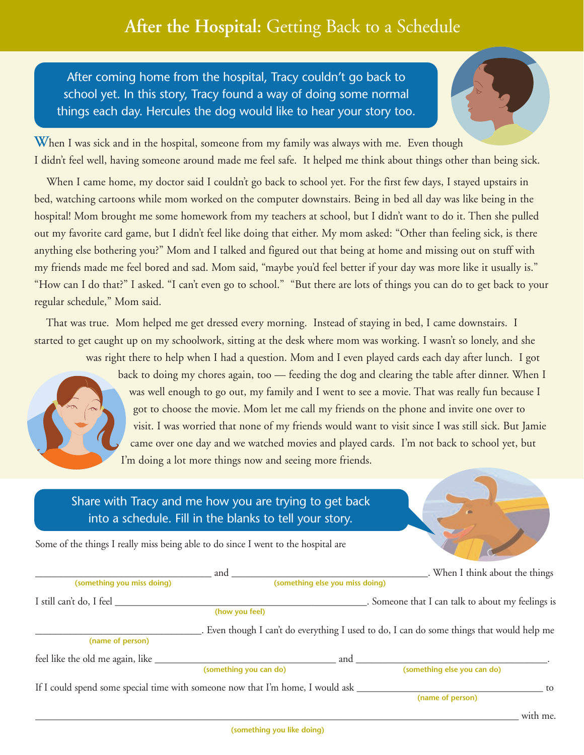## **After the Hospital:** Getting Back to a Schedule

After coming home from the hospital, Tracy couldn't go back to school yet. In this story, Tracy found a way of doing some normal things each day. Hercules the dog would like to hear your story too.



When I was sick and in the hospital, someone from my family was always with me. Even though I didn't feel well, having someone around made me feel safe. It helped me think about things other than being sick.

When I came home, my doctor said I couldn't go back to school yet. For the first few days, I stayed upstairs in bed, watching cartoons while mom worked on the computer downstairs. Being in bed all day was like being in the hospital! Mom brought me some homework from my teachers at school, but I didn't want to do it. Then she pulled out my favorite card game, but I didn't feel like doing that either. My mom asked: "Other than feeling sick, is there anything else bothering you?" Mom and I talked and figured out that being at home and missing out on stuff with my friends made me feel bored and sad. Mom said, "maybe you'd feel better if your day was more like it usually is." "How can I do that?" I asked. "I can't even go to school." "But there are lots of things you can do to get back to your regular schedule," Mom said.

That was true. Mom helped me get dressed every morning. Instead of staying in bed, I came downstairs. I started to get caught up on my schoolwork, sitting at the desk where mom was working. I wasn't so lonely, and she



was right there to help when I had a question. Mom and I even played cards each day after lunch. I got back to doing my chores again, too — feeding the dog and clearing the table after dinner. When I was well enough to go out, my family and I went to see a movie. That was really fun because I got to choose the movie. Mom let me call my friends on the phone and invite one over to visit. I was worried that none of my friends would want to visit since I was still sick. But Jamie came over one day and we watched movies and played cards. I'm not back to school yet, but I'm doing a lot more things now and seeing more friends.

## Share with Tracy and me how you are trying to get back into a schedule. Fill in the blanks to tell your story.

Some of the things I really miss being able to do since I went to the hospital are

|                                     | and                                                                            | . When I think about the things                                                           |
|-------------------------------------|--------------------------------------------------------------------------------|-------------------------------------------------------------------------------------------|
| (something you miss doing)          | (something else you miss doing)                                                |                                                                                           |
| I still can't do, I feel            | (how you feel)                                                                 | Someone that I can talk to about my feelings is                                           |
| (name of person)                    |                                                                                | . Even though I can't do everything I used to do, I can do some things that would help me |
| feel like the old me again, like __ |                                                                                | and                                                                                       |
|                                     | (something you can do)                                                         | (something else you can do)                                                               |
|                                     | If I could spend some special time with someone now that I'm home, I would ask | to                                                                                        |
|                                     |                                                                                | (name of person)                                                                          |